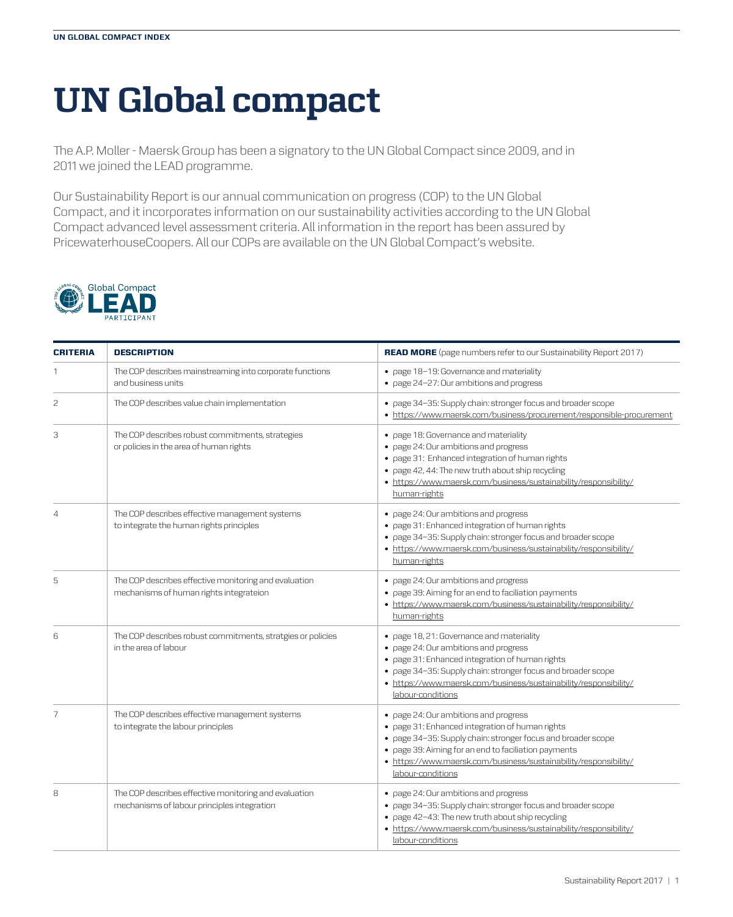## **UN Global compact**

The A.P. Moller - Maersk Group has been a signatory to the UN Global Compact since 2009, and in 2011 we joined the LEAD programme.

Our Sustainability Report is our annual communication on progress (COP) to the UN Global Compact, and it incorporates information on our sustainability activities according to the UN Global Compact advanced level assessment criteria. All information in the report has been assured by PricewaterhouseCoopers. All our COPs are available on the UN Global Compact's website.



| <b>CRITERIA</b> | <b>DESCRIPTION</b>                                                                                   | <b>READ MORE</b> (page numbers refer to our Sustainability Report 2017)                                                                                                                                                                                                                                   |
|-----------------|------------------------------------------------------------------------------------------------------|-----------------------------------------------------------------------------------------------------------------------------------------------------------------------------------------------------------------------------------------------------------------------------------------------------------|
|                 | The COP describes mainstreaming into corporate functions<br>and business units                       | • page 18-19: Governance and materiality<br>• page 24-27: Our ambitions and progress                                                                                                                                                                                                                      |
| 2               | The COP describes value chain implementation                                                         | • page 34-35: Supply chain: stronger focus and broader scope<br>• https://www.maersk.com/business/procurement/responsible-procurement                                                                                                                                                                     |
| 3               | The COP describes robust commitments, strategies<br>or policies in the area of human rights          | • page 18: Governance and materiality<br>• page 24: Our ambitions and progress<br>• page 31: Enhanced integration of human rights<br>• page 42, 44: The new truth about ship recycling<br>• https://www.maersk.com/business/sustainability/responsibility/<br>human-rights                                |
| $\overline{4}$  | The COP describes effective management systems<br>to integrate the human rights principles           | • page 24: Our ambitions and progress<br>· page 31: Enhanced integration of human rights<br>• page 34-35: Supply chain: stronger focus and broader scope<br>• https://www.maersk.com/business/sustainability/responsibility/<br>human-rights                                                              |
| 5               | The COP describes effective monitoring and evaluation<br>mechanisms of human rights integrateion     | • page 24: Our ambitions and progress<br>• page 39: Aiming for an end to faciliation payments<br>• https://www.maersk.com/business/sustainability/responsibility/<br>human-rights                                                                                                                         |
| 6               | The COP describes robust commitments, stratgies or policies<br>in the area of labour                 | • page 18, 21: Governance and materiality<br>• page 24: Our ambitions and progress<br>· page 31: Enhanced integration of human rights<br>• page 34-35: Supply chain: stronger focus and broader scope<br>• https://www.maersk.com/business/sustainability/responsibility/<br>labour-conditions            |
| 7               | The COP describes effective management systems<br>to integrate the labour principles                 | • page 24: Our ambitions and progress<br>· page 31: Enhanced integration of human rights<br>• page 34-35: Supply chain: stronger focus and broader scope<br>• page 39: Aiming for an end to faciliation payments<br>• https://www.maersk.com/business/sustainability/responsibility/<br>labour-conditions |
| 8               | The COP describes effective monitoring and evaluation<br>mechanisms of labour principles integration | • page 24: Our ambitions and progress<br>• page 34-35: Supply chain: stronger focus and broader scope<br>• page 42-43: The new truth about ship recycling<br>• https://www.maersk.com/business/sustainability/responsibility/<br>labour-conditions                                                        |